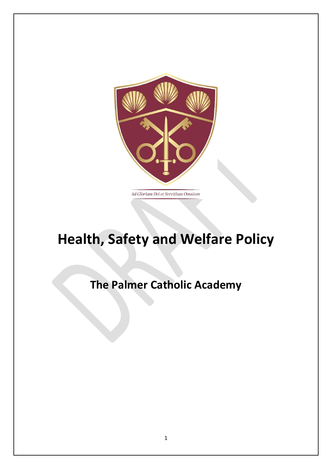

# **Health, Safety and Welfare Policy**

## **The Palmer Catholic Academy**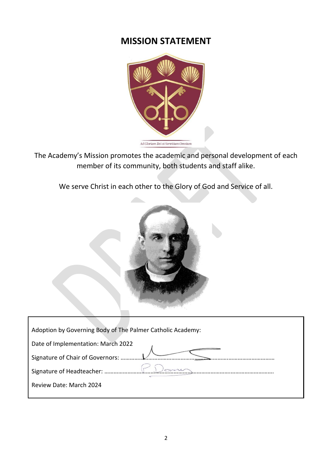### **MISSION STATEMENT**



The Academy's Mission promotes the academic and personal development of each member of its community, both students and staff alike.

We serve Christ in each other to the Glory of God and Service of all.



 $\mathsf{r}$ 

| Adoption by Governing Body of The Palmer Catholic Academy: |  |  |
|------------------------------------------------------------|--|--|
| Date of Implementation: March 2022                         |  |  |
| Signature of Chair of Governors:                           |  |  |
| Signature of Headteacher:                                  |  |  |
| <b>Review Date: March 2024</b>                             |  |  |
|                                                            |  |  |

٦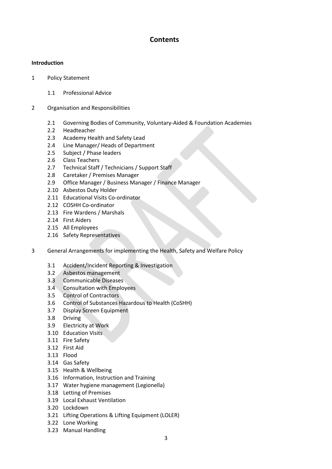#### **Contents**

#### **Introduction**

- 1 [Policy Statement](#page-4-0)
	- 1.1 Professional Advice
- 2 [Organisation and Responsibilities](#page-5-0)
	- 2.1 Governing Bodies of Community, Voluntary-Aided & Foundation Academies
	- 2.2 Headteacher
	- 2.3 Academy Health and Safety Lead
	- 2.4 Line Manager/ Heads of Department
	- 2.5 Subject / Phase leaders
	- 2.6 Class Teachers
	- 2.7 Technical Staff / Technicians / Support Staff
	- 2.8 Caretaker / Premises Manager
	- 2.9 Office Manager / Business Manager / Finance Manager
	- 2.10 Asbestos Duty Holder
	- 2.11 Educational Visits Co-ordinator
	- 2.12 [COSHH Co-ordinator](#page-9-0)
	- 2.13 [Fire Wardens / Marshals](#page-10-0)
	- 2.14 First Aiders
	- 2.15 All Employees
	- 2.16 [Safety Representatives](#page-11-0)
- 3 General Arrangements for implementing the Health, Safety and Welfare Policy
	- 3.1 [Accident/Incident Reporting & Investigation](#page-11-1)
	- 3.2 [Asbestos](#page-11-2) management
	- 3.3 [Communicable Diseases](#page-12-0)
	- 3.4 [Consultation with Employees](#page-12-1)
	- 3.5 [Control of Contractors](#page-13-0)
	- 3.6 [Control of Substances Hazardous to Health](#page-13-1) (CoSHH)
	- 3.7 [Display Screen Equipment](#page-14-0)
	- 3.8 [Driving](#page-14-1)
	- 3.9 [Electricity at Work](#page-15-0)
	- 3.10 [Education Visits](#page-15-1)
	- 3.11 Fire Safety
	- 3.12 [First Aid](#page-17-0)
	- 3.13 Flood
	- 3.14 [Gas Safety](#page-18-0)
	- 3.15 Health & Wellbeing
	- 3.16 Information, Instruction and Training
	- 3.17 Water hygiene management (Legionella)
	- 3.18 [Letting of Premises](#page-19-0)
	- 3.19 [Local Exhaust Ventilation](#page-20-0)
	- 3.20 Lockdown
	- 3.21 [Lifting Operations & Lifting Equipment \(LOLER\)](#page-20-1)
	- 3.22 [Lone Working](#page-22-0)
	- 3.23 [Manual Handling](#page-23-0)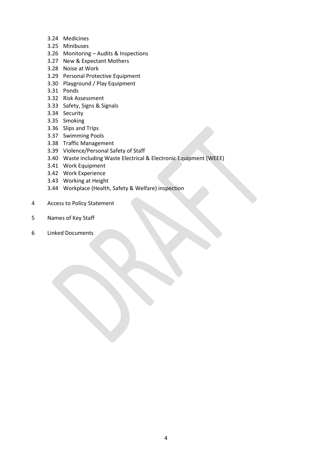- 3.24 [Medicines](#page-23-1)
- 3.25 [Minibuses](#page-24-0)
- 3.26 Monitoring [Audits & Inspections](#page-25-0)
- 3.27 [New & Expectant Mothers](#page-25-1)
- 3.28 [Noise at Work](#page-26-0)
- 3.29 [Personal Protective Equipment](#page-26-1)
- 3.30 [Playground / Play Equipment](#page-27-0)
- 3.31 [Ponds](#page-27-1)
- 3.32 [Risk Assessment](#page-27-2)
- 3.33 [Safety, Signs & Signals](#page-27-3)
- 3.34 [Security](#page-28-0)
- 3.35 [Smoking](#page-28-1)
- 3.36 [Slips and Trips](#page-28-2)
- 3.37 [Swimming Pools](#page-29-0)
- 3.38 [Traffic Management](#page-29-1)
- 3.39 [Violence/Personal Safety of Staff](#page-29-2)
- 3.40 [Waste including Waste Electrical & Electronic Equipment \(WEEE\)](#page-29-3)
- 3.41 [Work Equipment](#page-30-0)
- 3.42 [Work Experience](#page-31-0)
- 3.43 [Working at Height](#page-31-1)
- 3.44 [Workplace \(Health, Safety & Welfare\)](#page-32-0) inspection
- 4 [Access to Policy Statement](#page-33-0)
- 5 [Names of Key Staff](#page-33-1)
- 6 Linked Documents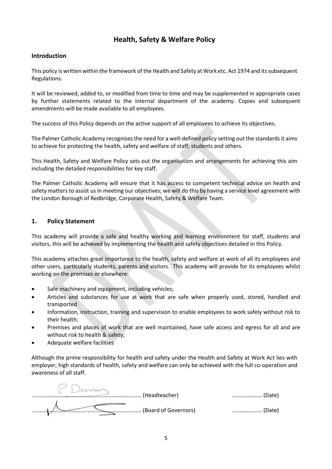#### **Health, Safety & Welfare Policy**

#### **Introduction**

This policy is written within the framework of the Health and Safety at Work etc. Act 1974 and its subsequent Regulations.

It will be reviewed, added to, or modified from time to time and may be supplemented in appropriate cases by further statements related to the internal department of the academy. Copies and subsequent amendments will be made available to all employees.

The success of this Policy depends on the active support of all employees to achieve its objectives.

The Palmer Catholic Academy recognises the need for a well-defined policy setting out the standards it aims to achieve for protecting the health, safety and welfare of staff, students and others.

This Health, Safety and Welfare Policy sets out the organisation and arrangements for achieving this aim including the detailed responsibilities for key staff.

The Palmer Catholic Academy will ensure that it has access to competent technical advice on health and safety matters to assist us in meeting our objectives; we will do this by having a service level agreement with the London Borough of Redbridge, Corporate Health, Safety & Welfare Team.

#### <span id="page-4-0"></span>**1. Policy Statement**

This academy will provide a safe and healthy working and learning environment for staff, students and visitors, this will be achieved by implementing the health and safety objectives detailed in this Policy.

This academy attaches great importance to the health, safety and welfare at work of all its employees and other users, particularly students, parents and visitors. This academy will provide for its employees whilst working on the premises or elsewhere:

- Safe machinery and equipment, including vehicles;
- Articles and substances for use at work that are safe when properly used, stored, handled and transported
- Information, instruction, training and supervision to enable employees to work safely without risk to their health;
- Premises and places of work that are well maintained, have safe access and egress for all and are without risk to health & safety;
- Adequate welfare facilities

Although the prime responsibility for health and safety under the Health and Safety at Work Act lies with employer, high standards of health, safety and welfare can only be achieved with the full co-operation and awareness of all staff.

…………………………………………..……………………… (Headteacher) ………………… (Date) …………………………………………..……………………… (Board of Governors) ………………… (Date)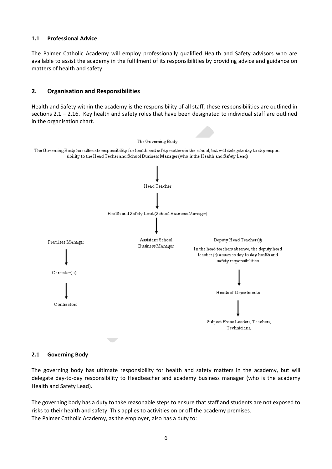#### **1.1 Professional Advice**

The Palmer Catholic Academy will employ professionally qualified Health and Safety advisors who are available to assist the academy in the fulfilment of its responsibilities by providing advice and guidance on matters of health and safety.

#### <span id="page-5-0"></span>**2. Organisation and Responsibilities**

Health and Safety within the academy is the responsibility of all staff, these responsibilities are outlined in sections 2.1 – 2.16. Key health and safety roles that have been designated to individual staff are outlined in the organisation chart.



#### **2.1 Governing Body**

The governing body has ultimate responsibility for health and safety matters in the academy, but will delegate day-to-day responsibility to Headteacher and academy business manager (who is the academy Health and Safety Lead).

The governing body has a duty to take reasonable steps to ensure that staff and students are not exposed to risks to their health and safety. This applies to activities on or off the academy premises. The Palmer Catholic Academy, as the employer, also has a duty to: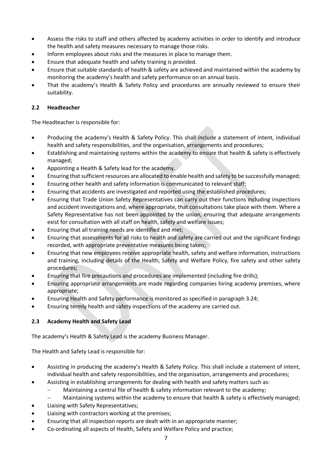- Assess the risks to staff and others affected by academy activities in order to identify and introduce the health and safety measures necessary to manage those risks.
- Inform employees about risks and the measures in place to manage them.
- Ensure that adequate health and safety training is provided.
- Ensure that suitable standards of health & safety are achieved and maintained within the academy by monitoring the academy's health and safety performance on an annual basis.
- That the academy's Health & Safety Policy and procedures are annually reviewed to ensure their suitability.

#### **2.2 Headteacher**

The Headteacher is responsible for:

- Producing the academy's Health & Safety Policy. This shall include a statement of intent, individual health and safety responsibilities, and the organisation, arrangements and procedures;
- Establishing and maintaining systems within the academy to ensure that health & safety is effectively managed;
- Appointing a Health & Safety lead for the academy.
- Ensuring that sufficient resources are allocated to enable health and safety to be successfully managed;
- Ensuring other health and safety information is communicated to relevant staff;
- Ensuring that accidents are investigated and reported using the established procedures;
- Ensuring that Trade Union Safety Representatives can carry out their functions including inspections and accident investigations and, where appropriate, that consultations take place with them. Where a Safety Representative has not been appointed by the union, ensuring that adequate arrangements exist for consultation with all staff on health, safety and welfare issues;
- Ensuring that all training needs are identified and met;
- Ensuring that assessments for all risks to health and safety are carried out and the significant findings recorded, with appropriate preventative measures being taken;
- Ensuring that new employees receive appropriate health, safety and welfare information, instructions and training, including details of the Health, Safety and Welfare Policy, fire safety and other safety procedures;
- Ensuring that fire precautions and procedures are implemented (including fire drills);
- Ensuring appropriate arrangements are made regarding companies hiring academy premises, where appropriate;
- Ensuring Health and Safety performance is monitored as specified in paragraph 3.24;
- Ensuring termly health and safety inspections of the academy are carried out.

#### **2.3 Academy Health and Safety Lead**

The academy's Health & Safety Lead is the academy Business Manager.

The Health and Safety Lead is responsible for:

- Assisting in producing the academy's Health & Safety Policy. This shall include a statement of intent, individual health and safety responsibilities, and the organisation, arrangements and procedures;
- Assisting in establishing arrangements for dealing with health and safety matters such as:
	- − Maintaining a central file of health & safety information relevant to the academy;
	- Maintaining systems within the academy to ensure that health & safety is effectively managed;
- Liaising with Safety Representatives;
- Liaising with contractors working at the premises;
- Ensuring that all inspection reports are dealt with in an appropriate manner;
- Co-ordinating all aspects of Health, Safety and Welfare Policy and practice;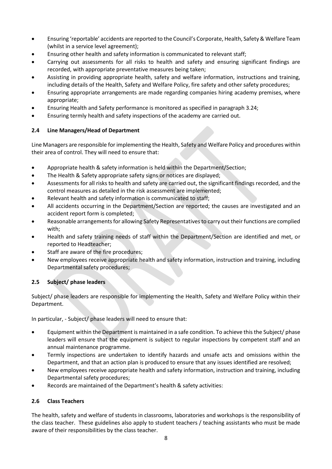- Ensuring 'reportable' accidents are reported to the Council's Corporate, Health, Safety & Welfare Team (whilst in a service level agreement);
- Ensuring other health and safety information is communicated to relevant staff;
- Carrying out assessments for all risks to health and safety and ensuring significant findings are recorded, with appropriate preventative measures being taken;
- Assisting in providing appropriate health, safety and welfare information, instructions and training, including details of the Health, Safety and Welfare Policy, fire safety and other safety procedures;
- Ensuring appropriate arrangements are made regarding companies hiring academy premises, where appropriate;
- Ensuring Health and Safety performance is monitored as specified in paragraph 3.24;
- Ensuring termly health and safety inspections of the academy are carried out.

#### **2.4 Line Managers/Head of Department**

Line Managers are responsible for implementing the Health, Safety and Welfare Policy and procedures within their area of control. They will need to ensure that:

- Appropriate health & safety information is held within the Department/Section;
- The Health & Safety appropriate safety signs or notices are displayed;
- Assessments for all risks to health and safety are carried out, the significant findings recorded, and the control measures as detailed in the risk assessment are implemented;
- Relevant health and safety information is communicated to staff;
- All accidents occurring in the Department/Section are reported; the causes are investigated and an accident report form is completed;
- Reasonable arrangements for allowing Safety Representatives to carry out their functions are complied with;
- Health and safety training needs of staff within the Department/Section are identified and met, or reported to Headteacher;
- Staff are aware of the fire procedures;
- New employees receive appropriate health and safety information, instruction and training, including Departmental safety procedures;

#### **2.5 Subject/ phase leaders**

Subject/ phase leaders are responsible for implementing the Health, Safety and Welfare Policy within their Department.

In particular, - Subject/ phase leaders will need to ensure that:

- Equipment within the Department is maintained in a safe condition. To achieve this the Subject/ phase leaders will ensure that the equipment is subject to regular inspections by competent staff and an annual maintenance programme.
- Termly inspections are undertaken to identify hazards and unsafe acts and omissions within the Department, and that an action plan is produced to ensure that any issues identified are resolved;
- New employees receive appropriate health and safety information, instruction and training, including Departmental safety procedures;
- Records are maintained of the Department's health & safety activities:

#### **2.6 Class Teachers**

The health, safety and welfare of students in classrooms, laboratories and workshops is the responsibility of the class teacher. These guidelines also apply to student teachers / teaching assistants who must be made aware of their responsibilities by the class teacher.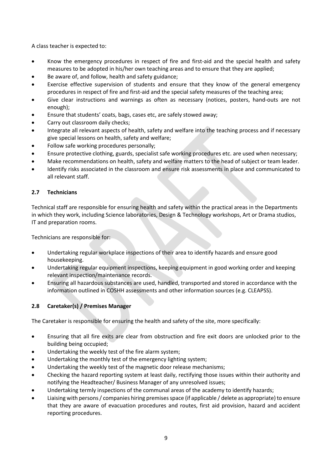A class teacher is expected to:

- Know the emergency procedures in respect of fire and first-aid and the special health and safety measures to be adopted in his/her own teaching areas and to ensure that they are applied;
- Be aware of, and follow, health and safety guidance;
- Exercise effective supervision of students and ensure that they know of the general emergency procedures in respect of fire and first-aid and the special safety measures of the teaching area;
- Give clear instructions and warnings as often as necessary (notices, posters, hand-outs are not enough);
- Ensure that students' coats, bags, cases etc, are safely stowed away;
- Carry out classroom daily checks;
- Integrate all relevant aspects of health, safety and welfare into the teaching process and if necessary give special lessons on health, safety and welfare;
- Follow safe working procedures personally;
- Ensure protective clothing, guards, specialist safe working procedures etc. are used when necessary;
- Make recommendations on health, safety and welfare matters to the head of subject or team leader.
- Identify risks associated in the classroom and ensure risk assessments in place and communicated to all relevant staff.

#### **2.7 Technicians**

Technical staff are responsible for ensuring health and safety within the practical areas in the Departments in which they work, including Science laboratories, Design & Technology workshops, Art or Drama studios, IT and preparation rooms.

Technicians are responsible for:

- Undertaking regular workplace inspections of their area to identify hazards and ensure good housekeeping.
- Undertaking regular equipment inspections, keeping equipment in good working order and keeping relevant inspection/maintenance records.
- Ensuring all hazardous substances are used, handled, transported and stored in accordance with the information outlined in COSHH assessments and other information sources (e.g. CLEAPSS).

#### **2.8 Caretaker(s) / Premises Manager**

The Caretaker is responsible for ensuring the health and safety of the site, more specifically:

- Ensuring that all fire exits are clear from obstruction and fire exit doors are unlocked prior to the building being occupied;
- Undertaking the weekly test of the fire alarm system;
- Undertaking the monthly test of the emergency lighting system;
- Undertaking the weekly test of the magnetic door release mechanisms;
- Checking the hazard reporting system at least daily, rectifying those issues within their authority and notifying the Headteacher/ Business Manager of any unresolved issues;
- Undertaking termly inspections of the communal areas of the academy to identify hazards;
- Liaising with persons / companies hiring premises space (if applicable / delete as appropriate) to ensure that they are aware of evacuation procedures and routes, first aid provision, hazard and accident reporting procedures.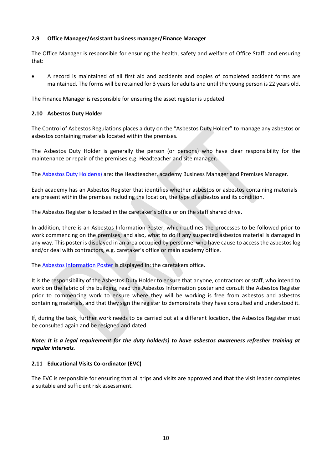#### **2.9 Office Manager/Assistant business manager/Finance Manager**

The Office Manager is responsible for ensuring the health, safety and welfare of Office Staff; and ensuring that:

• A record is maintained of all first aid and accidents and copies of completed accident forms are maintained. The forms will be retained for 3 years for adults and until the young person is 22 years old.

The Finance Manager is responsible for ensuring the asset register is updated.

#### **2.10 Asbestos Duty Holder**

The Control of Asbestos Regulations places a duty on the "Asbestos Duty Holder" to manage any asbestos or asbestos containing materials located within the premises.

The Asbestos Duty Holder is generally the person (or persons) who have clear responsibility for the maintenance or repair of the premises e.g. Headteacher and site manager.

The Asbestos Duty Holder(s) are: the Headteacher, academy Business Manager and Premises Manager.

Each academy has an Asbestos Register that identifies whether asbestos or asbestos containing materials are present within the premises including the location, the type of asbestos and its condition.

The Asbestos Register is located in the caretaker's office or on the staff shared drive.

In addition, there is an Asbestos Information Poster, which outlines the processes to be followed prior to work commencing on the premises; and also, what to do if any suspected asbestos material is damaged in any way. This poster is displayed in an area occupied by personnel who have cause to access the asbestos log and/or deal with contractors, e.g. caretaker's office or main academy office.

The [Asbestos Information Poster i](file://///Fs1.canonschool.internal/pd$/Staff/Other%20Staff%20Resources/School%20Business%20Management/HEALTH%20AND%20SAFETY/ASBESTOS/ASBESTOS%20INFORMATION%20POSTER%202021.docx)s displayed in: the caretakers office.

It is the responsibility of the Asbestos Duty Holder to ensure that anyone, contractors or staff, who intend to work on the fabric of the building, read the Asbestos Information poster and consult the Asbestos Register prior to commencing work to ensure where they will be working is free from asbestos and asbestos containing materials, and that they sign the register to demonstrate they have consulted and understood it.

If, during the task, further work needs to be carried out at a different location, the Asbestos Register must be consulted again and be resigned and dated.

#### *Note: It is a legal requirement for the duty holder(s) to have asbestos awareness refresher training at regular intervals.*

#### **2.11 Educational Visits Co-ordinator (EVC)**

<span id="page-9-0"></span>The EVC is responsible for ensuring that all trips and visits are approved and that the visit leader completes a suitable and sufficient risk assessment.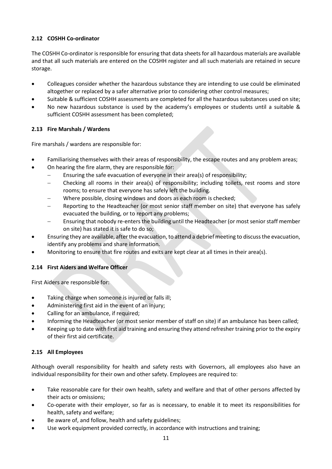#### **2.12 COSHH Co-ordinator**

The COSHH Co-ordinator is responsible for ensuring that data sheets for all hazardous materials are available and that all such materials are entered on the COSHH register and all such materials are retained in secure storage.

- Colleagues consider whether the hazardous substance they are intending to use could be eliminated altogether or replaced by a safer alternative prior to considering other control measures;
- Suitable & sufficient COSHH assessments are completed for all the hazardous substances used on site;
- No new hazardous substance is used by the academy's employees or students until a suitable & sufficient COSHH assessment has been completed;

#### <span id="page-10-0"></span>**2.13 Fire Marshals / Wardens**

Fire marshals / wardens are responsible for:

- Familiarising themselves with their areas of responsibility, the escape routes and any problem areas;
- On hearing the fire alarm, they are responsible for:
	- Ensuring the safe evacuation of everyone in their area(s) of responsibility;
	- − Checking all rooms in their area(s) of responsibility; including toilets, rest rooms and store rooms; to ensure that everyone has safely left the building.
	- Where possible, closing windows and doors as each room is checked;
	- Reporting to the Headteacher (or most senior staff member on site) that everyone has safely evacuated the building, or to report any problems;
	- Ensuring that nobody re-enters the building until the Headteacher (or most senior staff member on site) has stated it is safe to do so;
- Ensuring they are available, after the evacuation, to attend a debrief meeting to discuss the evacuation, identify any problems and share information.
- Monitoring to ensure that fire routes and exits are kept clear at all times in their area(s).

#### **2.14 First Aiders and Welfare Officer**

First Aiders are responsible for:

- Taking charge when someone is injured or falls ill;
- Administering first aid in the event of an injury;
- Calling for an ambulance, if required;
- Informing the Headteacher (or most senior member of staff on site) if an ambulance has been called;
- Keeping up to date with first aid training and ensuring they attend refresher training prior to the expiry of their first aid certificate.

#### **2.15 All Employees**

Although overall responsibility for health and safety rests with Governors, all employees also have an individual responsibility for their own and other safety. Employees are required to:

- Take reasonable care for their own health, safety and welfare and that of other persons affected by their acts or omissions;
- Co-operate with their employer, so far as is necessary, to enable it to meet its responsibilities for health, safety and welfare;
- Be aware of, and follow, health and safety guidelines;
- Use work equipment provided correctly, in accordance with instructions and training;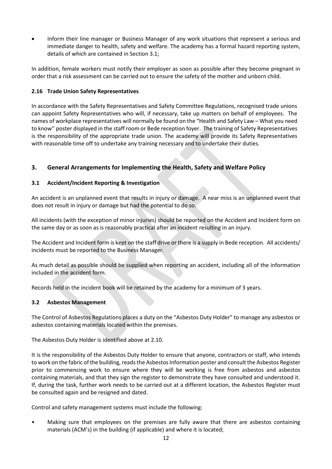• Inform their line manager or Business Manager of any work situations that represent a serious and immediate danger to health, safety and welfare. The academy has a formal hazard reporting system, details of which are contained in Section 3.1;

In addition, female workers must notify their employer as soon as possible after they become pregnant in order that a risk assessment can be carried out to ensure the safety of the mother and unborn child.

#### <span id="page-11-0"></span>**2.16 Trade Union Safety Representatives**

In accordance with the Safety Representatives and Safety Committee Regulations, recognised trade unions can appoint Safety Representatives who will, if necessary, take up matters on behalf of employees. The names of workplace representatives will normally be found on the "Health and Safety Law – What you need to know'' poster displayed in the staff room or Bede reception foyer. The training of Safety Representatives is the responsibility of the appropriate trade union. The academy will provide its Safety Representatives with reasonable time off to undertake any training necessary and to undertake their duties.

#### **3. General Arrangements for Implementing the Health, Safety and Welfare Policy**

#### <span id="page-11-1"></span>**3.1 Accident/Incident Reporting & Investigation**

An accident is an unplanned event that results in injury or damage. A near miss is an unplanned event that does not result in injury or damage but had the potential to do so.

All incidents (with the exception of minor injuries) should be reported on the Accident and Incident form on the same day or as soon as is reasonably practical after an incident resulting in an injury.

The Accident and Incident form is kept on the staff drive or there is a supply in Bede reception. All accidents/ incidents must be reported to the Business Manager.

As much detail as possible should be supplied when reporting an accident, including all of the information included in the accident form.

Records held in the incident book will be retained by the academy for a minimum of 3 years.

#### <span id="page-11-2"></span>**3.2 Asbestos Management**

The Control of Asbestos Regulations places a duty on the "Asbestos Duty Holder" to manage any asbestos or asbestos containing materials located within the premises.

The Asbestos Duty Holder is identified above at 2.10.

It is the responsibility of the Asbestos Duty Holder to ensure that anyone, contractors or staff, who intends to work on the fabric of the building, reads the Asbestos Information poster and consult the Asbestos Register prior to commencing work to ensure where they will be working is free from asbestos and asbestos containing materials, and that they sign the register to demonstrate they have consulted and understood it. If, during the task, further work needs to be carried out at a different location, the Asbestos Register must be consulted again and be resigned and dated.

Control and safety management systems must include the following:

• Making sure that employees on the premises are fully aware that there are asbestos containing materials (ACM's) in the building (if applicable) and where it is located;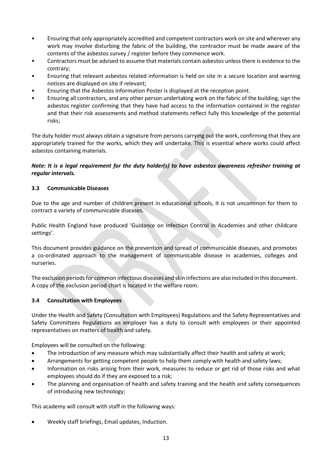- Ensuring that only appropriately accredited and competent contractors work on site and wherever any work may involve disturbing the fabric of the building, the contractor must be made aware of the contents of the asbestos survey / register before they commence work.
- Contractors must be advised to assume that materials contain asbestos unless there is evidence to the contrary;
- Ensuring that relevant asbestos related information is held on site in a secure location and warning notices are displayed on site if relevant;
- Ensuring that the Asbestos Information Poster is displayed at the reception point.
- Ensuring all contractors, and any other person undertaking work on the fabric of the building, sign the asbestos register confirming that they have had access to the information contained in the register and that their risk assessments and method statements reflect fully this knowledge of the potential risks;

The duty holder must always obtain a signature from persons carrying out the work, confirming that they are appropriately trained for the works, which they will undertake. This is essential where works could affect asbestos containing materials.

#### *Note: It is a legal requirement for the duty holder(s) to have asbestos awareness refresher training at regular intervals.*

#### <span id="page-12-0"></span>**3.3 Communicable Diseases**

Due to the age and number of children present in educational schools, it is not uncommon for them to contract a variety of communicable diseases.

Public Health England have produced 'Guidance on Infection Control in Academies and other childcare settings'.

This document provides guidance on the prevention and spread of communicable diseases, and promotes a co-ordinated approach to the management of communicable disease in academies, colleges and nurseries.

The exclusion periods for common infectious diseases and skin infections are also included in this document. A copy of the exclusion period chart is located in the welfare room.

#### <span id="page-12-1"></span>**3.4 Consultation with Employees**

Under the Health and Safety (Consultation with Employees) Regulations and the Safety Representatives and Safety Committees Regulations an employer has a duty to consult with employees or their appointed representatives on matters of health and safety.

Employees will be consulted on the following:

- The introduction of any measure which may substantially affect their health and safety at work;
- Arrangements for getting competent people to help them comply with health and safety laws;
- Information on risks arising from their work, measures to reduce or get rid of those risks and what employees should do if they are exposed to a risk;
- The planning and organisation of health and safety training and the health and safety consequences of introducing new technology;

This academy will consult with staff in the following ways:

• Weekly staff briefings, Email updates, Induction.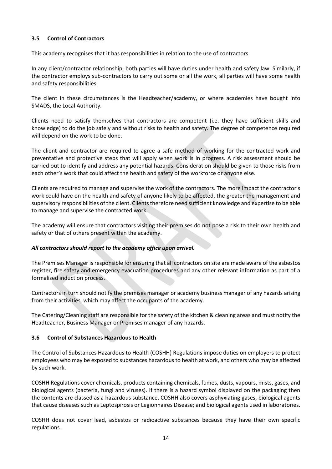#### <span id="page-13-0"></span>**3.5 Control of Contractors**

This academy recognises that it has responsibilities in relation to the use of contractors.

In any client/contractor relationship, both parties will have duties under health and safety law. Similarly, if the contractor employs sub-contractors to carry out some or all the work, all parties will have some health and safety responsibilities.

The client in these circumstances is the Headteacher/academy, or where academies have bought into SMADS, the Local Authority.

Clients need to satisfy themselves that contractors are competent (i.e. they have sufficient skills and knowledge) to do the job safely and without risks to health and safety. The degree of competence required will depend on the work to be done.

The client and contractor are required to agree a safe method of working for the contracted work and preventative and protective steps that will apply when work is in progress. A risk assessment should be carried out to identify and address any potential hazards. Consideration should be given to those risks from each other's work that could affect the health and safety of the workforce or anyone else.

Clients are required to manage and supervise the work of the contractors. The more impact the contractor's work could have on the health and safety of anyone likely to be affected, the greater the management and supervisory responsibilities of the client. Clients therefore need sufficient knowledge and expertise to be able to manage and supervise the contracted work.

The academy will ensure that contractors visiting their premises do not pose a risk to their own health and safety or that of others present within the academy.

#### *All contractors should report to the academy office upon arrival.*

The Premises Manager is responsible for ensuring that all contractors on site are made aware of the asbestos register, fire safety and emergency evacuation procedures and any other relevant information as part of a formalised induction process.

Contractors in turn should notify the premises manager or academy business manager of any hazards arising from their activities, which may affect the occupants of the academy.

The Catering/Cleaning staff are responsible for the safety of the kitchen & cleaning areas and must notify the Headteacher, Business Manager or Premises manager of any hazards.

#### <span id="page-13-1"></span>**3.6 Control of Substances Hazardous to Health**

The Control of Substances Hazardous to Health (COSHH) Regulations impose duties on employers to protect employees who may be exposed to substances hazardous to health at work, and others who may be affected by such work.

COSHH Regulations cover chemicals, products containing chemicals, fumes, dusts, vapours, mists, gases, and biological agents (bacteria, fungi and viruses). If there is a hazard symbol displayed on the packaging then the contents are classed as a hazardous substance. COSHH also covers asphyxiating gases, biological agents that cause diseases such as Leptospirosis or Legionnaires Disease; and biological agents used in laboratories.

COSHH does not cover lead, asbestos or radioactive substances because they have their own specific regulations.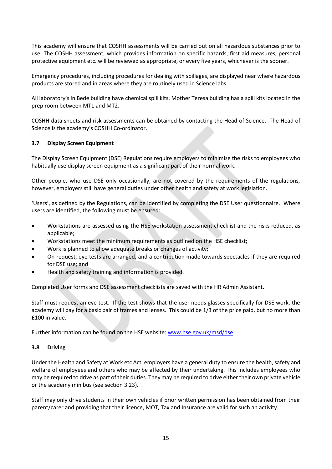This academy will ensure that COSHH assessments will be carried out on all hazardous substances prior to use. The COSHH assessment, which provides information on specific hazards, first aid measures, personal protective equipment etc. will be reviewed as appropriate, or every five years, whichever is the sooner.

Emergency procedures, including procedures for dealing with spillages, are displayed near where hazardous products are stored and in areas where they are routinely used in Science labs.

All laboratory's in Bede building have chemical spill kits. Mother Teresa building has a spill kits located in the prep room between MT1 and MT2.

COSHH data sheets and risk assessments can be obtained by contacting the Head of Science. The Head of Science is the academy's COSHH Co-ordinator.

#### <span id="page-14-0"></span>**3.7 Display Screen Equipment**

The Display Screen Equipment (DSE) Regulations require employers to minimise the risks to employees who habitually use display screen equipment as a significant part of their normal work.

Other people, who use DSE only occasionally, are not covered by the requirements of the regulations, however, employers still have general duties under other health and safety at work legislation.

'Users', as defined by the Regulations, can be identified by completing the DSE User questionnaire. Where users are identified, the following must be ensured:

- Workstations are assessed using the [HSE workstation assessment checklist](http://insidelbr/files/publications/4467.pdf) and the risks reduced, as applicable;
- Workstations meet the minimum requirements as outlined on the HSE checklist;
- Work is planned to allow adequate breaks or changes of activity;
- On request, eye tests are arranged, and a contribution made towards spectacles if they are required for DSE use; and
- Health and safety training and information is provided.

Completed User forms and DSE assessment checklists are saved with the HR Admin Assistant.

Staff must request an eye test. If the test shows that the user needs glasses specifically for DSE work, the academy will pay for a basic pair of frames and lenses. This could be 1/3 of the price paid, but no more than £100 in value.

Further information can be found on the HSE website: [www.hse.gov.uk/msd/dse](http://www.hse.gov.uk/msd/dse)

#### <span id="page-14-1"></span>**3.8 Driving**

Under the Health and Safety at Work etc Act, employers have a general duty to ensure the health, safety and welfare of employees and others who may be affected by their undertaking. This includes employees who may be required to drive as part of their duties. They may be required to drive either their own private vehicle or the academy minibus (see section 3.23).

Staff may only drive students in their own vehicles if prior written permission has been obtained from their parent/carer and providing that their licence, MOT, Tax and Insurance are valid for such an activity.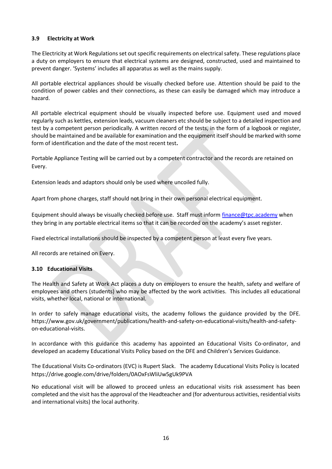#### <span id="page-15-0"></span>**3.9 Electricity at Work**

The Electricity at Work Regulations set out specific requirements on electrical safety. These regulations place a duty on employers to ensure that electrical systems are designed, constructed, used and maintained to prevent danger. 'Systems' includes all apparatus as well as the mains supply.

All portable electrical appliances should be visually checked before use. Attention should be paid to the condition of power cables and their connections, as these can easily be damaged which may introduce a hazard.

All portable electrical equipment should be visually inspected before use. Equipment used and moved regularly such as kettles, extension leads, vacuum cleaners etc should be subject to a detailed inspection and test by a competent person periodically. A written record of the tests, in the form of a logbook or register, should be maintained and be available for examination and the equipment itself should be marked with some form of identification and the date of the most recent test**.**

Portable Appliance Testing will be carried out by a competent contractor and the records are retained on Every.

Extension leads and adaptors should only be used where uncoiled fully.

Apart from phone charges, staff should not bring in their own personal electrical equipment.

Equipment should always be visually checked before use. Staff must inform [finance@tpc.academy](mailto:finance@tpc.academy) when they bring in any portable electrical items so that it can be recorded on the academy's asset register.

Fixed electrical installations should be inspected by a competent person at least every five years.

All records are retained on Every.

#### <span id="page-15-1"></span>**3.10 Educational Visits**

The Health and Safety at Work Act places a duty on employers to ensure the health, safety and welfare of employees and others (students) who may be affected by the work activities. This includes all educational visits, whether local, national or international.

In order to safely manage educational visits, the academy follows the guidance provided by the DFE. https://www.gov.uk/government/publications/health-and-safety-on-educational-visits/health-and-safetyon-educational-visits.

In accordance with this guidance this academy has appointed an Educational Visits Co-ordinator, and developed an academy Educational Visits Policy based on the DFE and Children's Services Guidance.

The Educational Visits Co-ordinators (EVC) is Rupert Slack. The academy Educational Visits Policy is located https://drive.google.com/drive/folders/0AOxFsWliUw5gUk9PVA

No educational visit will be allowed to proceed unless an educational visits risk assessment has been completed and the visit has the approval of the Headteacher and (for adventurous activities, residential visits and international visits) the local authority.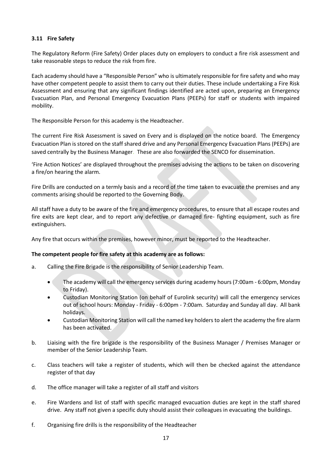#### **3.11 Fire Safety**

The Regulatory Reform (Fire Safety) Order places duty on employers to conduct a fire risk assessment and take reasonable steps to reduce the risk from fire.

Each academy should have a "Responsible Person" who is ultimately responsible for fire safety and who may have other competent people to assist them to carry out their duties. These include undertaking a Fire Risk Assessment and ensuring that any significant findings identified are acted upon, preparing an Emergency Evacuation Plan, and Personal Emergency Evacuation Plans (PEEPs) for staff or students with impaired mobility.

The Responsible Person for this academy is the Headteacher.

The current Fire Risk Assessment is saved on Every and is displayed on the notice board. The Emergency Evacuation Plan is stored on the staff shared drive and any Personal Emergency Evacuation Plans (PEEPs) are saved centrally by the Business Manager. These are also forwarded the SENCO for dissemination.

'Fire Action Notices' are displayed throughout the premises advising the actions to be taken on discovering a fire/on hearing the alarm.

Fire Drills are conducted on a termly basis and a record of the time taken to evacuate the premises and any comments arising should be reported to the Governing Body.

All staff have a duty to be aware of the fire and emergency procedures, to ensure that all escape routes and fire exits are kept clear, and to report any defective or damaged fire- fighting equipment, such as fire extinguishers.

Any fire that occurs within the premises, however minor, must be reported to the Headteacher.

#### **The competent people for fire safety at this academy are as follows:**

- a. Calling the Fire Brigade is the responsibility of Senior Leadership Team.
	- The academy will call the emergency services during academy hours (7:00am 6:00pm, Monday to Friday).
	- Custodian Monitoring Station (on behalf of Eurolink security) will call the emergency services out of school hours: Monday - Friday - 6:00pm - 7:00am. Saturday and Sunday all day. All bank holidays.
	- Custodian Monitoring Station will call the named key holders to alert the academy the fire alarm has been activated.
- b. Liaising with the fire brigade is the responsibility of the Business Manager / Premises Manager or member of the Senior Leadership Team.
- c. Class teachers will take a register of students, which will then be checked against the attendance register of that day
- d. The office manager will take a register of all staff and visitors
- e. Fire Wardens and list of staff with specific managed evacuation duties are kept in the staff shared drive. Any staff not given a specific duty should assist their colleagues in evacuating the buildings.
- f. Organising fire drills is the responsibility of the Headteacher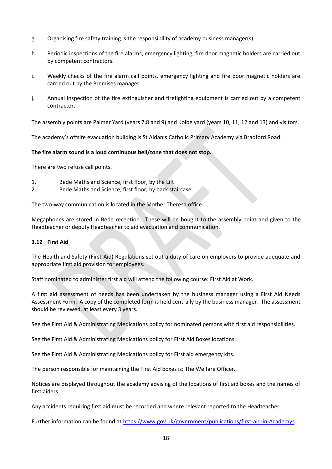- g. Organising fire safety training is the responsibility of academy business manager(s)
- h. Periodic inspections of the fire alarms, emergency lighting, fire door magnetic holders are carried out by competent contractors.
- i. Weekly checks of the fire alarm call points, emergency lighting and fire door magnetic holders are carried out by the Premises manager.
- j. Annual inspection of the fire extinguisher and firefighting equipment is carried out by a competent contractor.

The assembly points are Palmer Yard (years 7,8 and 9) and Kolbe yard (years 10, 11, 12 and 13) and visitors.

The academy's offsite evacuation building is St Aidan's Catholic Primary Academy via Bradford Road.

#### **The fire alarm sound is a loud continuous bell/tone that does not stop.**

There are two refuse call points.

- 1. Bede Maths and Science, first floor, by the Lift
- 2. Bede Maths and Science, first floor, by back staircase

The two-way communication is located in the Mother Theresa office.

Megaphones are stored in Bede reception. These will be bought to the assembly point and given to the Headteacher or deputy Headteacher to aid evacuation and communication.

#### <span id="page-17-0"></span>**3.12 First Aid**

The Health and Safety (First-Aid) Regulations set out a duty of care on employers to provide adequate and appropriate first aid provision for employees.

Staff nominated to administer first aid will attend the following course: First Aid at Work.

A first aid assessment of needs has been undertaken by the business manager using a [First Aid Needs](file:///C:/Users/Paulp/AppData/Local/Microsoft/Windows/Temporary%20Internet%20Files/Content.Outlook/Schools%20Guidance/2014/Forms,%20Posters%20and%20Notices/First%20Aid%20Needs%20Assessment.doc)  [Assessment Form.](file:///C:/Users/Paulp/AppData/Local/Microsoft/Windows/Temporary%20Internet%20Files/Content.Outlook/Schools%20Guidance/2014/Forms,%20Posters%20and%20Notices/First%20Aid%20Needs%20Assessment.doc) A copy of the completed form is held centrally by the business manager. The assessment should be reviewed, at least every 3 years.

See the First Aid & Administrating Medications policy for nominated persons with first aid responsibilities.

See the First Aid & Administrating Medications policy for First Aid Boxes locations.

See the First Aid & Administrating Medications policy for First aid emergency kits.

The person responsible for maintaining the First Aid boxes is: The Welfare Officer.

Notices are displayed throughout the academy advising of the locations of first aid boxes and the names of first aiders.

Any accidents requiring first aid must be recorded and where relevant reported to the Headteacher.

Further information can be found a[t https://www.gov.uk/government/publications/first-aid-in-Academys](https://www.gov.uk/government/publications/first-aid-in-schools)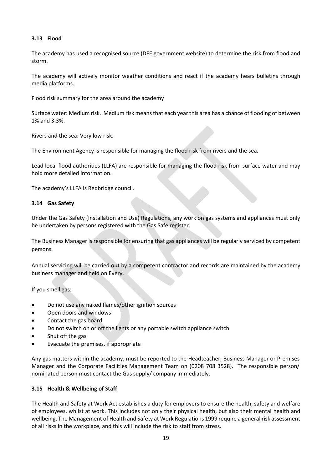#### <span id="page-18-0"></span>**3.13 Flood**

The academy has used a recognised source (DFE government website) to determine the risk from flood and storm.

The academy will actively monitor weather conditions and react if the academy hears bulletins through media platforms.

Flood risk summary for the area around the academy

Surface water: Medium risk. Medium risk means that each year this area has a chance of flooding of between 1% and 3.3%.

Rivers and the sea: Very low risk.

The Environment Agency is responsible for managing the flood risk from rivers and the sea.

Lead local flood authorities (LLFA) are responsible for managing the flood risk from surface water and may hold more detailed information.

The academy's LLFA is Redbridge council.

#### **3.14 Gas Safety**

Under the Gas Safety (Installation and Use) Regulations, any work on gas systems and appliances must only be undertaken by persons registered with the Gas Safe register.

The Business Manager is responsible for ensuring that gas appliances will be regularly serviced by competent persons.

Annual servicing will be carried out by a competent contractor and records are maintained by the academy business manager and held on Every.

If you smell gas:

- Do not use any naked flames/other ignition sources
- Open doors and windows
- Contact the gas board
- Do not switch on or off the lights or any portable switch appliance switch
- Shut off the gas
- Evacuate the premises, if appropriate

Any gas matters within the academy, must be reported to the Headteacher, Business Manager or Premises Manager and the Corporate Facilities Management Team on (0208 708 3528). The responsible person/ nominated person must contact the Gas supply/ company immediately.

#### **3.15 Health & Wellbeing of Staff**

The Health and Safety at Work Act establishes a duty for employers to ensure the health, safety and welfare of employees, whilst at work. This includes not only their physical health, but also their mental health and wellbeing. The Management of Health and Safety at Work Regulations 1999 require a general risk assessment of all risks in the workplace, and this will include the risk to staff from stress.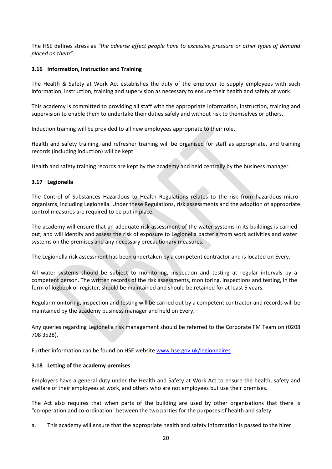The HSE defines stress as *"the adverse effect people have to excessive pressure or other types of demand placed on them"*.

#### **3.16 Information, Instruction and Training**

The Health & Safety at Work Act establishes the duty of the employer to supply employees with such information, instruction, training and supervision as necessary to ensure their health and safety at work.

This academy is committed to providing all staff with the appropriate information, instruction, training and supervision to enable them to undertake their duties safely and without risk to themselves or others.

[Induction](file:///C:/Users/Paulp/AppData/Local/Microsoft/Windows/Temporary%20Internet%20Files/Content.Outlook/Schools%20Guidance/2014/Forms,%20Posters%20and%20Notices/Induction%20Checklist.doc) training will be provided to all new employees appropriate to their role.

Health and safety training, and refresher training will be organised for staff as appropriate, and training records (including induction) will be kept.

Health and safety training records are kept by the academy and held centrally by the business manager.

#### **3.17 Legionella**

The Control of Substances Hazardous to Health Regulations relates to the risk from hazardous microorganisms, including Legionella. Under these Regulations, risk assessments and the adoption of appropriate control measures are required to be put in place.

The academy will ensure that an adequate risk assessment of the water systems in its buildings is carried out; and will identify and assess the risk of exposure to Legionella bacteria from work activities and water systems on the premises and any necessary precautionary measures.

The Legionella risk assessment has been undertaken by a competent contractor and is located on Every.

All water systems should be subject to monitoring, inspection and testing at regular intervals by a competent person. The written records of the risk assessments, monitoring, inspections and testing, in the form of logbook or register, should be maintained and should be retained for at least 5 years.

Regular monitoring, inspection and testing will be carried out by a competent contractor and records will be maintained by the academy business manager and held on Every.

Any queries regarding Legionella risk management should be referred to the Corporate FM Team on (0208 708 3528).

Further information can be found on HSE website [www.hse.gov.uk/legionnaires](http://www.hse.gov.uk/legionnaires) 

#### <span id="page-19-0"></span>**3.18 Letting of the academy premises**

Employers have a general duty under the Health and Safety at Work Act to ensure the health, safety and welfare of their employees at work, and others who are not employees but use their premises.

The Act also requires that when parts of the building are used by other organisations that there is "co-operation and co-ordination" between the two parties for the purposes of health and safety.

a. This academy will ensure that the appropriate health and safety information is passed to the hirer.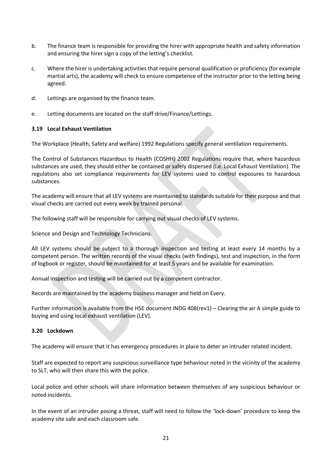- b. The finance team is responsible for providing the hirer with appropriate health and safety information and ensuring the hirer sign a copy of the letting's checklist.
- c. Where the hirer is undertaking activities that require personal qualification or proficiency (for example martial arts), the academy will check to ensure competence of the instructor prior to the letting being agreed.
- d. Lettings are organised by the finance team.
- <span id="page-20-0"></span>e. Letting documents are located on the staff drive/Finance/Lettings.

#### **3.19 Local Exhaust Ventilation**

The Workplace (Health, Safety and welfare) 1992 Regulations specify general ventilation requirements.

The Control of Substances Hazardous to Health (COSHH) 2002 Regulations require that, where hazardous substances are used, they should either be contained or safely dispersed (i.e. Local Exhaust Ventilation). The regulations also set compliance requirements for LEV systems used to control exposures to hazardous substances.

The academy will ensure that all LEV systems are maintained to standards suitable for their purpose and that visual checks are carried out every week by trained personal.

The following staff will be responsible for carrying out visual checks of LEV systems.

Science and Design and Technology Technicians.

All LEV systems should be subject to a thorough inspection and testing at least every 14 months by a competent person. The written records of the visual checks (with findings), test and inspection, in the form of logbook or register, should be maintained for at least 5 years and be available for examination.

Annual inspection and testing will be carried out by a competent contractor.

Records are maintained by the academy business manager and held on Every.

<span id="page-20-1"></span>Further information is available from the HSE document INDG 408(rev1) – Clearing the air A simple guide to buying and using local exhaust ventilation (LEV).

#### **3.20 Lockdown**

The academy will ensure that it has emergency procedures in place to deter an intruder related incident.

Staff are expected to report any suspicious surveillance type behaviour noted in the vicinity of the academy to SLT, who will then share this with the police.

Local police and other schools will share information between themselves of any suspicious behaviour or noted incidents.

In the event of an intruder posing a threat, staff will need to follow the 'lock-down' procedure to keep the academy site safe and each classroom safe.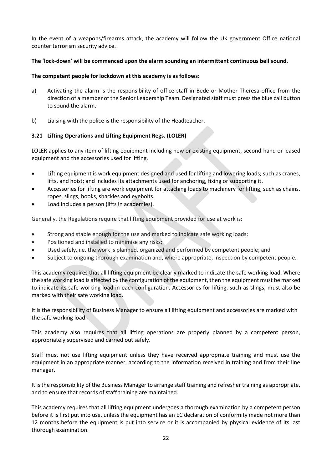In the event of a weapons/firearms attack, the academy will follow the UK government Office national counter terrorism security advice.

#### **The 'lock-down' will be commenced upon the alarm sounding an intermittent continuous bell sound.**

#### **The competent people for lockdown at this academy is as follows:**

- a) Activating the alarm is the responsibility of office staff in Bede or Mother Theresa office from the direction of a member of the Senior Leadership Team. Designated staff must press the blue call button to sound the alarm.
- b) Liaising with the police is the responsibility of the Headteacher.

#### **3.21 Lifting Operations and Lifting Equipment Regs. (LOLER)**

LOLER applies to any item of lifting equipment including new or existing equipment, second-hand or leased equipment and the accessories used for lifting.

- Lifting equipment is work equipment designed and used for lifting and lowering loads; such as cranes, lifts, and hoist; and includes its attachments used for anchoring, fixing or supporting it.
- Accessories for lifting are work equipment for attaching loads to machinery for lifting, such as chains, ropes, slings, hooks, shackles and eyebolts.
- Load includes a person (lifts in academies).

Generally, the Regulations require that lifting equipment provided for use at work is:

- Strong and stable enough for the use and marked to indicate safe working loads;
- Positioned and installed to minimise any risks;
- Used safely, i.e. the work is planned, organized and performed by competent people; and
- Subject to ongoing thorough examination and, where appropriate, inspection by competent people.

This academy requires that all lifting equipment be clearly marked to indicate the safe working load. Where the safe working load is affected by the configuration of the equipment, then the equipment must be marked to indicate its safe working load in each configuration. Accessories for lifting, such as slings, must also be marked with their safe working load.

It is the responsibility of Business Manager to ensure all lifting equipment and accessories are marked with the safe working load.

This academy also requires that all lifting operations are properly planned by a competent person, appropriately supervised and carried out safely.

Staff must not use lifting equipment unless they have received appropriate training and must use the equipment in an appropriate manner, according to the information received in training and from their line manager.

It is the responsibility of the Business Manager to arrange staff training and refresher training as appropriate, and to ensure that records of staff training are maintained.

This academy requires that all lifting equipment undergoes a thorough examination by a competent person before it is first put into use, unless the equipment has an EC declaration of conformity made not more than 12 months before the equipment is put into service or it is accompanied by physical evidence of its last thorough examination.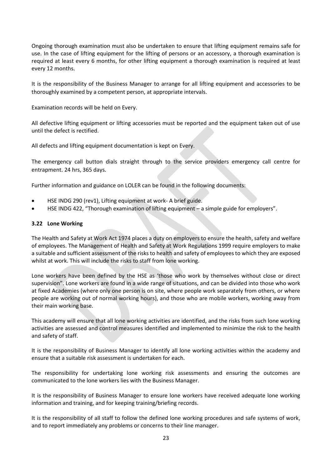Ongoing thorough examination must also be undertaken to ensure that lifting equipment remains safe for use. In the case of lifting equipment for the lifting of persons or an accessory, a thorough examination is required at least every 6 months, for other lifting equipment a thorough examination is required at least every 12 months.

It is the responsibility of the Business Manager to arrange for all lifting equipment and accessories to be thoroughly examined by a competent person, at appropriate intervals.

Examination records will be held on Every.

All defective lifting equipment or lifting accessories must be reported and the equipment taken out of use until the defect is rectified.

All defects and lifting equipment documentation is kept on Every.

The emergency call button dials straight through to the service providers emergency call centre for entrapment. 24 hrs, 365 days.

Further information and guidance on LOLER can be found in the following documents:

- HSE INDG 290 (rev1), Lifting equipment at work- A brief guide.
- HSE INDG 422, ["Thorough examination of lifting equipment –](http://www.hse.gov.uk/pubns/indg422.pdf) a simple guide for employers".

#### <span id="page-22-0"></span>**3.22 Lone Working**

The Health and Safety at Work Act 1974 places a duty on employers to ensure the health, safety and welfare of employees. The Management of Health and Safety at Work Regulations 1999 require employers to make a suitable and sufficient assessment of the risks to health and safety of employees to which they are exposed whilst at work. This will include the risks to staff from lone working.

Lone workers have been defined by the HSE as 'those who work by themselves without close or direct supervision". Lone workers are found in a wide range of situations, and can be divided into those who work at fixed Academies (where only one person is on site, where people work separately from others, or where people are working out of normal working hours), and those who are mobile workers, working away from their main working base.

This academy will ensure that all lone working activities are identified, and the risks from such lone working activities are assessed and control measures identified and implemented to minimize the risk to the health and safety of staff.

It is the responsibility of Business Manager to identify all lone working activities within the academy and ensure that a suitable risk assessment is undertaken for each.

The responsibility for undertaking lone working risk assessments and ensuring the outcomes are communicated to the lone workers lies with the Business Manager.

It is the responsibility of Business Manager to ensure lone workers have received adequate lone working information and training, and for keeping training/briefing records.

It is the responsibility of all staff to follow the defined lone working procedures and safe systems of work, and to report immediately any problems or concerns to their line manager.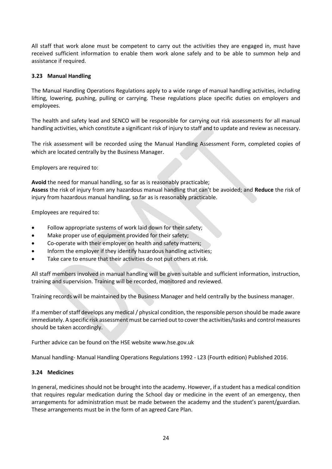All staff that work alone must be competent to carry out the activities they are engaged in, must have received sufficient information to enable them work alone safely and to be able to summon help and assistance if required.

#### <span id="page-23-0"></span>**3.23 Manual Handling**

The Manual Handling Operations Regulations apply to a wide range of manual handling activities, including lifting, lowering, pushing, pulling or carrying. These regulations place specific duties on employers and employees.

The health and safety lead and SENCO will be responsible for carrying out risk assessments for all manual handling activities, which constitute a significant risk of injury to staff and to update and review as necessary.

The risk assessment will be recorded using the [Manual Handling Assessment Form, c](file:///C:/Users/Paulp/AppData/Local/Microsoft/Windows/Temporary%20Internet%20Files/Content.Outlook/Schools%20Guidance/2014/Forms,%20Posters%20and%20Notices/Manual%20Handling%20Assessment%20Form%20(Part1).doc)ompleted copies of which are located centrally by the Business Manager.

Employers are required to:

**Avoid** the need for manual handling, so far as is reasonably practicable; **Assess** the risk of injury from any hazardous manual handling that can't be avoided; and **Reduce** the risk of injury from hazardous manual handling, so far as is reasonably practicable.

Employees are required to:

- Follow appropriate systems of work laid down for their safety;
- Make proper use of equipment provided for their safety;
- Co-operate with their employer on health and safety matters;
- Inform the employer if they identify hazardous handling activities;
- Take care to ensure that their activities do not put others at risk.

All staff members involved in manual handling will be given suitable and sufficient information, instruction, training and supervision. Training will be recorded, monitored and reviewed.

Training records will be maintained by the Business Manager and held centrally by the business manager.

If a member of staff develops any medical / physical condition, the responsible person should be made aware immediately. A specific risk assessment must be carried out to cover the activities/tasks and control measures should be taken accordingly.

Further advice can be found on the HSE websit[e www.hse.gov.uk](http://www.hse.gov.uk/)

Manual handling- Manual Handling Operations Regulations 1992 - L23 (Fourth edition) Published 2016.

#### <span id="page-23-1"></span>**3.24 Medicines**

In general, medicines should not be brought into the academy. However, if a student has a medical condition that requires regular medication during the School day or medicine in the event of an emergency, then arrangements for administration must be made between the academy and the student's parent/guardian. These arrangements must be in the form of an agreed Care Plan.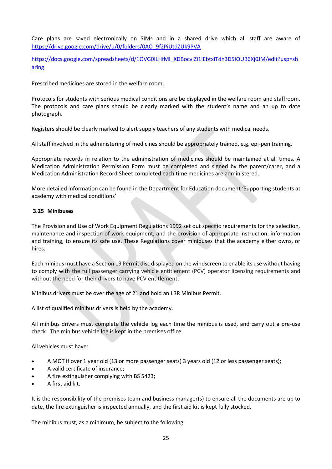Care plans are saved electronically on SIMs and in a shared drive which all staff are aware of [https://drive.google.com/drive/u/0/folders/0AO\\_9f2PiUtdZUk9PVA](https://drive.google.com/drive/u/0/folders/0AO_9f2PiUtdZUk9PVA)

[https://docs.google.com/spreadsheets/d/1OVG0ILHfMl\\_XDBocviZi1IEbtxITdn3D5IQUB6Xj0JM/edit?usp=sh](https://docs.google.com/spreadsheets/d/1OVG0ILHfMl_XDBocviZi1IEbtxITdn3D5IQUB6Xj0JM/edit?usp=sharing) [aring](https://docs.google.com/spreadsheets/d/1OVG0ILHfMl_XDBocviZi1IEbtxITdn3D5IQUB6Xj0JM/edit?usp=sharing)

Prescribed medicines are stored in the welfare room.

Protocols for students with serious medical conditions are be displayed in the welfare room and staffroom. The protocols and care plans should be clearly marked with the student's name and an up to date photograph.

Registers should be clearly marked to alert supply teachers of any students with medical needs.

All staff involved in the administering of medicines should be appropriately trained, e.g. epi-pen training.

Appropriate records in relation to the administration of medicines should be maintained at all times. A [Medication Administration Permission Form](file:///C:/Users/Paulp/AppData/Local/Microsoft/Windows/Temporary%20Internet%20Files/Content.Outlook/Schools%20Guidance/2014/Forms,%20Posters%20and%20Notices/Medication%20Administration%20Permisson%20Form.doc) must be completed and signed by the parent/carer, and a [Medication Administration Record Sheet](file:///C:/Users/Paulp/AppData/Local/Microsoft/Windows/Temporary%20Internet%20Files/Content.Outlook/Schools%20Guidance/2014/Forms,%20Posters%20and%20Notices/Medication%20Administration%20Record%20Sheet.doc) completed each time medicines are administered.

More detailed information can be found in the Department for Education document 'Supporting students at academy with medical conditions'

#### <span id="page-24-0"></span>**3.25 Minibuses**

The Provision and Use of Work Equipment Regulations 1992 set out specific requirements for the selection, maintenance and inspection of work equipment, and the provision of appropriate instruction, information and training, to ensure its safe use. These Regulations cover minibuses that the academy either owns, or hires.

Each minibus must have a Section 19 Permit disc displayed on the windscreen to enable its use without having to comply with the full passenger carrying vehicle entitlement (PCV) operator licensing requirements and without the need for their drivers to have PCV entitlement.

Minibus drivers must be over the age of 21 and hold an LBR Minibus Permit.

A list of qualified minibus drivers is held by the academy.

All minibus drivers must complete the vehicle log each time the minibus is used, and carry out a pre-use check. The minibus vehicle log is kept in the premises office.

All vehicles must have:

- A MOT if over 1 year old (13 or more passenger seats) 3 years old (12 or less passenger seats);
- A valid certificate of insurance;
- A fire extinguisher complying with BS 5423;
- A first aid kit.

It is the responsibility of the premises team and business manager(s) to ensure all the documents are up to date, the fire extinguisher is inspected annually, and the first aid kit is kept fully stocked.

The minibus must, as a minimum, be subject to the following: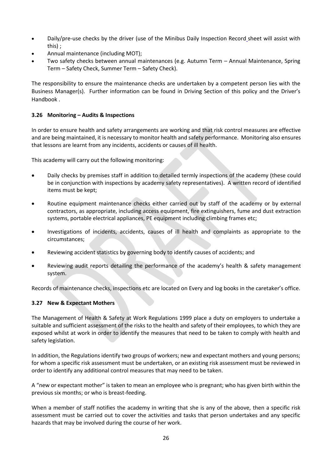- Daily/pre-use checks by the driver (use of the [Minibus Daily Inspection Record](file:///C:/Users/Paulp/AppData/Local/Microsoft/Windows/Temporary%20Internet%20Files/Content.Outlook/Schools%20Guidance/2014/Forms,%20Posters%20and%20Notices/Minibus%20Daily%20Inspection%20Record.doc) sheet will assist with this) ;
- Annual maintenance (including MOT);
- Two safety checks between annual maintenances (e.g. Autumn Term Annual Maintenance, Spring Term – Safety Check, Summer Term – Safety Check).

The responsibility to ensure the maintenance checks are undertaken by a competent person lies with the Business Manager(s). Further information can be found in [Driving Section](#page-14-1) of this policy and the [Driver's](file:///C:/Users/Paulp/AppData/Local/Microsoft/Windows/Temporary%20Internet%20Files/Content.Outlook/Schools%20Guidance/2014/Forms,%20Posters%20and%20Notices/Drivers%20handbook.pdf)  [Handbook .](file:///C:/Users/Paulp/AppData/Local/Microsoft/Windows/Temporary%20Internet%20Files/Content.Outlook/Schools%20Guidance/2014/Forms,%20Posters%20and%20Notices/Drivers%20handbook.pdf)

#### <span id="page-25-0"></span>**3.26 Monitoring – Audits & Inspections**

In order to ensure health and safety arrangements are working and that risk control measures are effective and are being maintained, it is necessary to monitor health and safety performance. Monitoring also ensures that lessons are learnt from any incidents, accidents or causes of ill health.

This academy will carry out the following monitoring:

- Daily checks by premises staff in addition to detailed termly inspections of the academy (these could be in conjunction with inspections by academy safety representatives). A written record of identified items must be kept;
- Routine equipment maintenance checks either carried out by staff of the academy or by external contractors, as appropriate, including access equipment, fire extinguishers, fume and dust extraction systems, portable electrical appliances, PE equipment including climbing frames etc;
- Investigations of incidents, accidents, causes of ill health and complaints as appropriate to the circumstances;
- Reviewing accident statistics by governing body to identify causes of accidents; and
- Reviewing audit reports detailing the performance of the academy's health & safety management system.

Records of maintenance checks, inspections etc are located on Every and log books in the caretaker's office.

#### <span id="page-25-1"></span>**3.27 New & Expectant Mothers**

The Management of Health & Safety at Work Regulations 1999 place a duty on employers to undertake a suitable and sufficient assessment of the risks to the health and safety of their employees, to which they are exposed whilst at work in order to identify the measures that need to be taken to comply with health and safety legislation.

In addition, the Regulations identify two groups of workers; new and expectant mothers and young persons; for whom a specific risk assessment must be undertaken, or an existing risk assessment must be reviewed in order to identify any additional control measures that may need to be taken.

A "new or expectant mother" is taken to mean an employee who is pregnant; who has given birth within the previous six months; or who is breast-feeding.

When a member of staff notifies the academy in writing that she is any of the above, then a specific risk assessment must be carried out to cover the activities and tasks that person undertakes and any specific hazards that may be involved during the course of her work.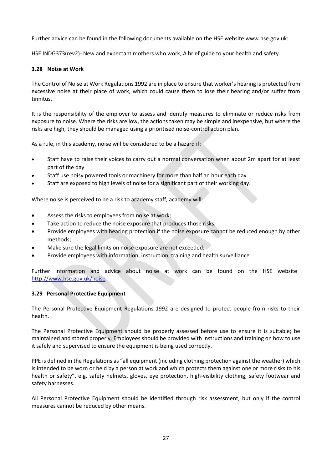Further advice can be found in the following documents available on the HSE website [www.hse.gov.uk:](http://www.hse.gov.uk/)

<span id="page-26-0"></span>HSE INDG373(rev2)- New and expectant mothers who work, A brief guide to your health and safety.

#### **3.28 Noise at Work**

The Control of Noise at Work Regulations 1992 are in place to ensure that worker's hearing is protected from excessive noise at their place of work, which could cause them to lose their hearing and/or suffer from tinnitus.

It is the responsibility of the employer to assess and identify measures to eliminate or reduce risks from exposure to noise. Where the risks are low, the actions taken may be simple and inexpensive, but where the risks are high, they should be managed using a prioritised noise-control action plan.

As a rule, in this academy, noise will be considered to be a hazard if:

- Staff have to raise their voices to carry out a normal conversation when about 2m apart for at least part of the day
- Staff use noisy powered tools or machinery for more than half an hour each day
- Staff are exposed to high levels of noise for a significant part of their working day.

Where noise is perceived to be a risk to academy staff, academy will:

- Assess the risks to employees from noise at work;
- Take action to reduce the noise exposure that produces those risks;
- Provide employees with hearing protection if the noise exposure cannot be reduced enough by other methods;
- Make sure the legal limits on noise exposure are not exceeded;
- Provide employees with information, instruction, training and health surveillance

Further information and advice about noise at work can be found on the HSE website <http://www.hse.gov.uk/noise>

#### <span id="page-26-1"></span>**3.29 Personal Protective Equipment**

The Personal Protective Equipment Regulations 1992 are designed to protect people from risks to their health.

The Personal Protective Equipment should be properly assessed before use to ensure it is suitable; be maintained and stored properly. Employees should be provided with instructions and training on how to use it safely and supervised to ensure the equipment is being used correctly.

PPE is defined in the Regulations as "all equipment (including clothing protection against the weather) which is intended to be worn or held by a person at work and which protects them against one or more risks to his health or safety", e.g. safety helmets, gloves, eye protection, high-visibility clothing, safety footwear and safety harnesses.

All Personal Protective Equipment should be identified through risk assessment, but only if the control measures cannot be reduced by other means.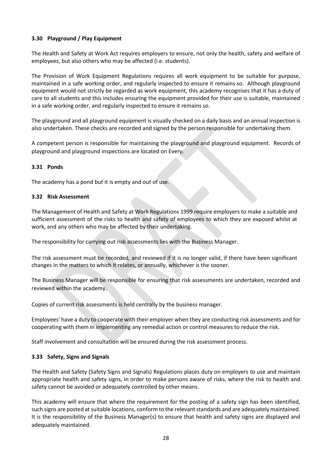#### <span id="page-27-0"></span>**3.30 Playground / Play Equipment**

The Health and Safety at Work Act requires employers to ensure, not only the health, safety and welfare of employees, but also others who may be affected (i.e. students).

The Provision of Work Equipment Regulations requires all work equipment to be suitable for purpose, maintained in a safe working order, and regularly inspected to ensure it remains so. Although playground equipment would not strictly be regarded as work equipment, this academy recognises that it has a duty of care to all students and this includes ensuring the equipment provided for their use is suitable, maintained in a safe working order, and regularly inspected to ensure it remains so.

The playground and all playground equipment is visually checked on a daily basis and an annual inspection is also undertaken. These checks are recorded and signed by the person responsible for undertaking them.

A competent person is responsible for maintaining the playground and playground equipment. Records of playground and playground inspections are located on Every.

#### <span id="page-27-1"></span>**3.31 Ponds**

The academy has a pond but it is empty and out of use.

#### <span id="page-27-2"></span>**3.32 Risk Assessment**

The Management of Health and Safety at Work Regulations 1999 require employers to make a suitable and sufficient assessment of the risks to health and safety of employees to which they are exposed whilst at work, and any others who may be affected by their undertaking.

The responsibility for carrying out risk assessments lies with the Business Manager.

The risk assessment must be recorded, and reviewed if it is no longer valid, if there have been significant changes in the matters to which it relates, or annually, whichever is the sooner.

The Business Manager will be responsible for ensuring that risk assessments are undertaken, recorded and reviewed within the academy.

Copies of current risk assessments is held centrally by the business manager.

Employees' have a duty to cooperate with their employer when they are conducting risk assessments and for cooperating with them in implementing any remedial action or control measures to reduce the risk.

Staff involvement and consultation will be ensured during the risk assessment process.

#### <span id="page-27-3"></span>**3.33 Safety, Signs and Signals**

The Health and Safety (Safety Signs and Signals) Regulations places duty on employers to use and maintain appropriate health and safety signs, in order to make persons aware of risks, where the risk to health and safety cannot be avoided or adequately controlled by other means.

This academy will ensure that where the requirement for the posting of a safety sign has been identified, such signs are posted at suitable locations, conform to the relevant standards and are adequately maintained. It is the responsibility of the Business Manager(s) to ensure that health and safety signs are displayed and adequately maintained.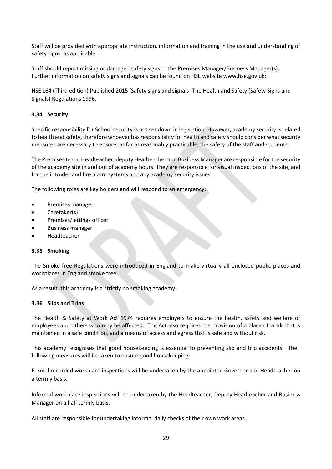Staff will be provided with appropriate instruction, information and training in the use and understanding of safety signs, as applicable.

Staff should report missing or damaged safety signs to the Premises Manager/Business Manager(s). Further information on safety signs and signals can be found on HSE website [www.hse.gov.uk:](http://www.hse.gov.uk/)

HSE L64 (Third edition) Published 2015 'Safety signs and signals- The Health and Safety (Safety Signs and Signals) Regulations 1996.

#### <span id="page-28-0"></span>**3.34 Security**

Specific responsibility for School security is not set down in legislation. However, academy security is related to health and safety, therefore whoever has responsibility for health and safety should consider what security measures are necessary to ensure, as far as reasonably practicable, the safety of the staff and students.

The Premises team, Headteacher, deputy Headteacher and Business Manager are responsible for the security of the academy site in and out of academy hours. They are responsible for visual inspections of the site, and for the intruder and fire alarm systems and any academy security issues.

The following roles are key holders and will respond to an emergency:

- Premises manager
- Caretaker(s)
- Premises/lettings officer
- Business manager
- Headteacher

#### <span id="page-28-1"></span>**3.35 Smoking**

The Smoke free Regulations were introduced in England to make virtually all enclosed public places and workplaces in England smoke free.

As a result, this academy is a strictly no smoking academy.

#### <span id="page-28-2"></span>**3.36 Slips and Trips**

The Health & Safety at Work Act 1974 requires employers to ensure the health, safety and welfare of employees and others who may be affected. The Act also requires the provision of a place of work that is maintained in a safe condition, and a means of access and egress that is safe and without risk.

This academy recognises that good housekeeping is essential to preventing slip and trip accidents. The following measures will be taken to ensure good housekeeping:

Formal recorded workplace inspections will be undertaken by the appointed Governor and Headteacher on a termly basis.

Informal workplace inspections will be undertaken by the Headteacher, Deputy Headteacher and Business Manager on a half termly basis.

All staff are responsible for undertaking informal daily checks of their own work areas.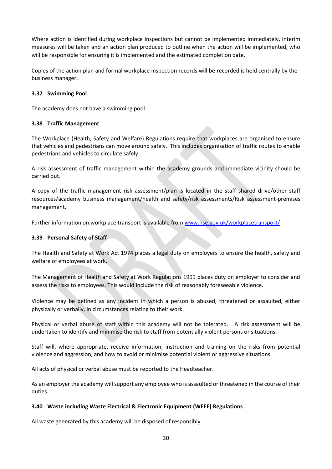Where action is identified during workplace inspections but cannot be implemented immediately, interim measures will be taken and an action plan produced to outline when the action will be implemented, who will be responsible for ensuring it is implemented and the estimated completion date.

<span id="page-29-0"></span>Copies of the action plan and formal workplace inspection records will be recorded is held centrally by the business manager.

#### **3.37 Swimming Pool**

The academy does not have a swimming pool.

#### <span id="page-29-1"></span>**3.38 Traffic Management**

The Workplace (Health, Safety and Welfare) Regulations require that workplaces are organised to ensure that vehicles and pedestrians can move around safely. This includes organisation of traffic routes to enable pedestrians and vehicles to circulate safely.

A risk assessment of traffic management within the academy grounds and immediate vicinity should be carried out.

A copy of the traffic management risk assessment/plan is located in the staff shared drive/other staff resources/academy business management/health and safety/risk assessments/Risk assessment-premises management.

Further information on workplace transport is available from www.hse.gov.uk/workplacetransport/

#### <span id="page-29-2"></span>**3.39 Personal Safety of Staff**

The Health and Safety at Work Act 1974 places a legal duty on employers to ensure the health, safety and welfare of employees at work.

The Management of Health and Safety at Work Regulations 1999 places duty on employer to consider and assess the risks to employees. This would include the risk of reasonably foreseeable violence.

Violence may be defined as any incident in which a person is abused, threatened or assaulted, either physically or verbally, in circumstances relating to their work.

Physical or verbal abuse of staff within this academy will not be tolerated. A risk assessment will be undertaken to identify and minimise the risk to staff from potentially violent persons or situations.

Staff will, where appropriate, receive information, instruction and training on the risks from potential violence and aggression, and how to avoid or minimise potential violent or aggressive situations.

All acts of physical or verbal abuse must be reported to the Headteacher.

As an employer the academy will support any employee who is assaulted or threatened in the course of their duties.

#### <span id="page-29-3"></span>**3.40 Waste including Waste Electrical & Electronic Equipment (WEEE) Regulations**

All waste generated by this academy will be disposed of responsibly.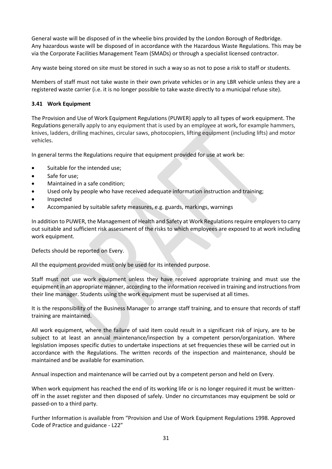General waste will be disposed of in the wheelie bins provided by the London Borough of Redbridge. Any hazardous waste will be disposed of in accordance with the Hazardous Waste Regulations. This may be via the Corporate Facilities Management Team (SMADs) or through a specialist licensed contractor.

Any waste being stored on site must be stored in such a way so as not to pose a risk to staff or students.

Members of staff must not take waste in their own private vehicles or in any LBR vehicle unless they are a registered waste carrier (i.e. it is no longer possible to take waste directly to a municipal refuse site).

#### <span id="page-30-0"></span>**3.41 Work Equipment**

The Provision and Use of Work Equipment Regulations (PUWER) apply to all types of work equipment. The Regulations generally apply to any equipment that is used by an employee at work**,** for example hammers, knives, ladders, drilling machines, circular saws, photocopiers, lifting equipment (including lifts) and motor vehicles.

In general terms the Regulations require that equipment provided for use at work be:

- Suitable for the intended use;
- Safe for use;
- Maintained in a safe condition;
- Used only by people who have received adequate information instruction and training;
- **Inspected**
- Accompanied by suitable safety measures, e.g. guards, markings, warnings

In addition to PUWER, the Management of Health and Safety at Work Regulations require employers to carry out suitable and sufficient risk assessment of the risks to which employees are exposed to at work including work equipment.

Defects should be reported on Every.

All the equipment provided must only be used for its intended purpose.

Staff must not use work equipment unless they have received appropriate training and must use the equipment in an appropriate manner, according to the information received in training and instructions from their line manager. Students using the work equipment must be supervised at all times.

It is the responsibility of the Business Manager to arrange staff training, and to ensure that records of staff training are maintained.

All work equipment, where the failure of said item could result in a significant risk of injury, are to be subject to at least an annual maintenance/inspection by a competent person/organization. Where legislation imposes specific duties to undertake inspections at set frequencies these will be carried out in accordance with the Regulations. The written records of the inspection and maintenance, should be maintained and be available for examination.

Annual inspection and maintenance will be carried out by a competent person and held on Every.

When work equipment has reached the end of its working life or is no longer required it must be writtenoff in the asset register and then disposed of safely. Under no circumstances may equipment be sold or passed-on to a third party.

Further Information is available from "Provision and Use of Work Equipment Regulations 1998. Approved Code of Practice and guidance - L22"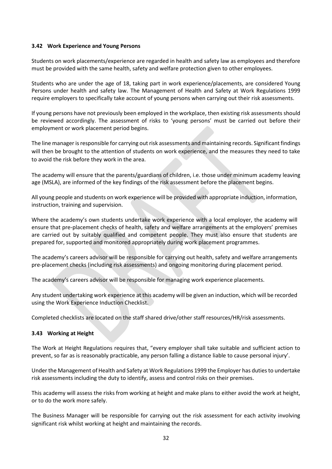#### <span id="page-31-0"></span>**3.42 Work Experience and Young Persons**

Students on work placements/experience are regarded in health and safety law as employees and therefore must be provided with the same health, safety and welfare protection given to other employees.

Students who are under the age of 18, taking part in work experience/placements, are considered Young Persons under health and safety law. The Management of Health and Safety at Work Regulations 1999 require employers to specifically take account of young persons when carrying out their risk assessments.

If young persons have not previously been employed in the workplace, then existing risk assessments should be reviewed accordingly. The assessment of risks to 'young persons' must be carried out before their employment or work placement period begins.

The line manager is responsible for carrying out risk assessments and maintaining records. Significant findings will then be brought to the attention of students on work experience, and the measures they need to take to avoid the risk before they work in the area.

The academy will ensure that the parents/guardians of children, i.e. those under minimum academy leaving age (MSLA), are informed of the key findings of the risk assessment before the placement begins.

All young people and students on work experience will be provided with appropriate induction, information, instruction, training and supervision.

Where the academy's own students undertake work experience with a local employer, the academy will ensure that pre-placement checks of health, safety and welfare arrangements at the employers' premises are carried out by suitably qualified and competent people. They must also ensure that students are prepared for, supported and monitored appropriately during work placement programmes.

The academy's careers advisor will be responsible for carrying out health, safety and welfare arrangements pre-placement checks (including risk assessments) and ongoing monitoring during placement period.

The academy's careers advisor will be responsible for managing work experience placements.

Any student undertaking work experience at this academy will be given an induction, which will be recorded using the [Work Experience Induction Checklist.](file:///C:/Users/Paulp/AppData/Local/Microsoft/Windows/Temporary%20Internet%20Files/Content.Outlook/Schools%20Guidance/2014/Forms,%20Posters%20and%20Notices/Work%20Experience%20Induction%20Checklist.doc)

Completed checklists are located on the staff shared drive/other staff resources/HR/risk assessments.

#### <span id="page-31-1"></span>**3.43 Working at Height**

The Work at Height Regulations requires that, "every employer shall take suitable and sufficient action to prevent, so far as is reasonably practicable, any person falling a distance liable to cause personal injury'.

Under the Management of Health and Safety at Work Regulations 1999 the Employer has duties to undertake risk assessments including the duty to identify, assess and control risks on their premises.

This academy will assess the risks from working at height and make plans to either avoid the work at height, or to do the work more safely.

The Business Manager will be responsible for carrying out the risk assessment for each activity involving significant risk whilst working at height and maintaining the records.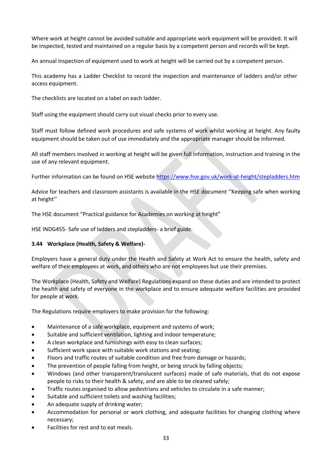Where work at height cannot be avoided suitable and appropriate work equipment will be provided. It will be inspected, tested and maintained on a regular basis by a competent person and records will be kept.

An annual inspection of equipment used to work at height will be carried out by a competent person.

This academy has a [Ladder Checklist](file:///C:/Users/Paulp/AppData/Local/Microsoft/Windows/Temporary%20Internet%20Files/Content.Outlook/Schools%20Guidance/2014/Forms,%20Posters%20and%20Notices/Ladder%20Inspection%20Record%20Sheet.doc) to record the inspection and maintenance of ladders and/or other access equipment.

The checklists are located on a label on each ladder.

Staff using the equipment should carry out visual checks prior to every use.

Staff must follow defined work procedures and safe systems of work whilst working at height. Any faulty equipment should be taken out of use immediately and the appropriate manager should be informed.

All staff members involved in working at height will be given full information, instruction and training in the use of any relevant equipment.

Further information can be found on HSE websit[e https://www.hse.gov.uk/work-at-height/stepladders.htm](https://www.hse.gov.uk/work-at-height/stepladders.htm) 

Advice for teachers and classroom assistants is available in the HSE document ''[Keeping safe when working](http://www.hse.gov.uk/pubns/schoolsfall.pdf)  [at height](http://www.hse.gov.uk/pubns/schoolsfall.pdf)''

The HSE document ["Practical guidance for](http://www.hse.gov.uk/falls/casestudies/schoolguidance.htm) Academies on working at height"

HSE INDG455- Safe use of ladders and stepladders- a brief guide.

#### <span id="page-32-0"></span>**3.44 Workplace (Health, Safety & Welfare)-**

Employers have a general duty under the Health and Safety at Work Act to ensure the health, safety and welfare of their employees at work, and others who are not employees but use their premises.

The Workplace (Health, Safety and Welfare) Regulations expand on these duties and are intended to protect the health and safety of everyone in the workplace and to ensure adequate welfare facilities are provided for people at work.

The Regulations require employers to make provision for the following:

- Maintenance of a safe workplace, equipment and systems of work;
- Suitable and sufficient ventilation, lighting and indoor temperature;
- A clean workplace and furnishings with easy to clean surfaces;
- Sufficient work space with suitable work stations and seating;
- Floors and traffic routes of suitable condition and free from damage or hazards;
- The prevention of people falling from height, or being struck by falling objects;
- Windows (and other transparent/translucent surfaces) made of safe materials, that do not expose people to risks to their health & safety, and are able to be cleaned safely;
- Traffic routes organised to allow pedestrians and vehicles to circulate in a safe manner;
- Suitable and sufficient toilets and washing facilities;
- An adequate supply of drinking water;
- Accommodation for personal or work clothing, and adequate facilities for changing clothing where necessary;
- Facilities for rest and to eat meals.